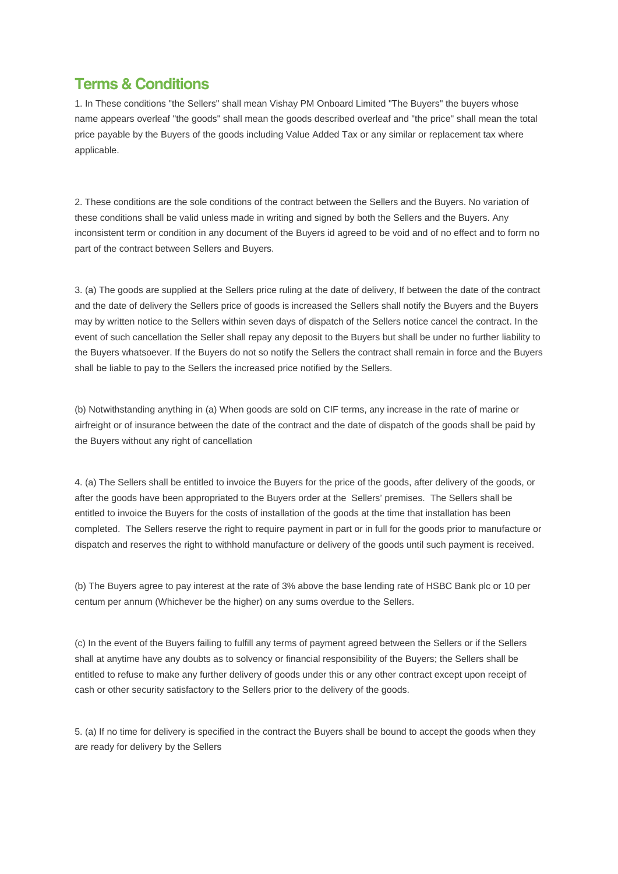## **Terms & Conditions**

1. In These conditions "the Sellers" shall mean Vishay PM Onboard Limited "The Buyers" the buyers whose name appears overleaf "the goods" shall mean the goods described overleaf and "the price" shall mean the total price payable by the Buyers of the goods including Value Added Tax or any similar or replacement tax where applicable.

2. These conditions are the sole conditions of the contract between the Sellers and the Buyers. No variation of these conditions shall be valid unless made in writing and signed by both the Sellers and the Buyers. Any inconsistent term or condition in any document of the Buyers id agreed to be void and of no effect and to form no part of the contract between Sellers and Buyers.

3. (a) The goods are supplied at the Sellers price ruling at the date of delivery, If between the date of the contract and the date of delivery the Sellers price of goods is increased the Sellers shall notify the Buyers and the Buyers may by written notice to the Sellers within seven days of dispatch of the Sellers notice cancel the contract. In the event of such cancellation the Seller shall repay any deposit to the Buyers but shall be under no further liability to the Buyers whatsoever. If the Buyers do not so notify the Sellers the contract shall remain in force and the Buyers shall be liable to pay to the Sellers the increased price notified by the Sellers.

(b) Notwithstanding anything in (a) When goods are sold on CIF terms, any increase in the rate of marine or airfreight or of insurance between the date of the contract and the date of dispatch of the goods shall be paid by the Buyers without any right of cancellation

4. (a) The Sellers shall be entitled to invoice the Buyers for the price of the goods, after delivery of the goods, or after the goods have been appropriated to the Buyers order at the Sellers' premises. The Sellers shall be entitled to invoice the Buyers for the costs of installation of the goods at the time that installation has been completed. The Sellers reserve the right to require payment in part or in full for the goods prior to manufacture or dispatch and reserves the right to withhold manufacture or delivery of the goods until such payment is received.

(b) The Buyers agree to pay interest at the rate of 3% above the base lending rate of HSBC Bank plc or 10 per centum per annum (Whichever be the higher) on any sums overdue to the Sellers.

(c) In the event of the Buyers failing to fulfill any terms of payment agreed between the Sellers or if the Sellers shall at anytime have any doubts as to solvency or financial responsibility of the Buyers; the Sellers shall be entitled to refuse to make any further delivery of goods under this or any other contract except upon receipt of cash or other security satisfactory to the Sellers prior to the delivery of the goods.

5. (a) If no time for delivery is specified in the contract the Buyers shall be bound to accept the goods when they are ready for delivery by the Sellers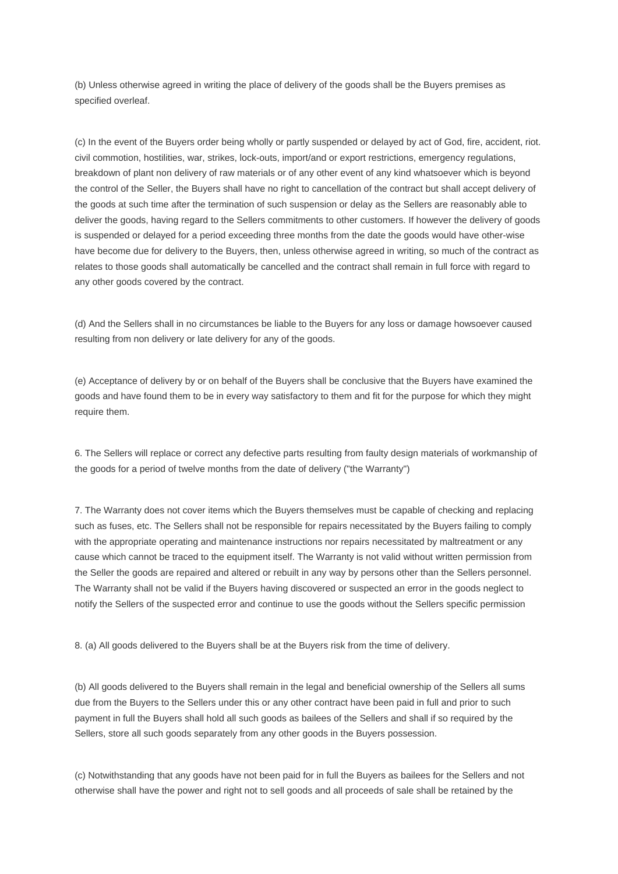(b) Unless otherwise agreed in writing the place of delivery of the goods shall be the Buyers premises as specified overleaf.

(c) In the event of the Buyers order being wholly or partly suspended or delayed by act of God, fire, accident, riot. civil commotion, hostilities, war, strikes, lock-outs, import/and or export restrictions, emergency regulations, breakdown of plant non delivery of raw materials or of any other event of any kind whatsoever which is beyond the control of the Seller, the Buyers shall have no right to cancellation of the contract but shall accept delivery of the goods at such time after the termination of such suspension or delay as the Sellers are reasonably able to deliver the goods, having regard to the Sellers commitments to other customers. If however the delivery of goods is suspended or delayed for a period exceeding three months from the date the goods would have other-wise have become due for delivery to the Buyers, then, unless otherwise agreed in writing, so much of the contract as relates to those goods shall automatically be cancelled and the contract shall remain in full force with regard to any other goods covered by the contract.

(d) And the Sellers shall in no circumstances be liable to the Buyers for any loss or damage howsoever caused resulting from non delivery or late delivery for any of the goods.

(e) Acceptance of delivery by or on behalf of the Buyers shall be conclusive that the Buyers have examined the goods and have found them to be in every way satisfactory to them and fit for the purpose for which they might require them.

6. The Sellers will replace or correct any defective parts resulting from faulty design materials of workmanship of the goods for a period of twelve months from the date of delivery ("the Warranty")

7. The Warranty does not cover items which the Buyers themselves must be capable of checking and replacing such as fuses, etc. The Sellers shall not be responsible for repairs necessitated by the Buyers failing to comply with the appropriate operating and maintenance instructions nor repairs necessitated by maltreatment or any cause which cannot be traced to the equipment itself. The Warranty is not valid without written permission from the Seller the goods are repaired and altered or rebuilt in any way by persons other than the Sellers personnel. The Warranty shall not be valid if the Buyers having discovered or suspected an error in the goods neglect to notify the Sellers of the suspected error and continue to use the goods without the Sellers specific permission

8. (a) All goods delivered to the Buyers shall be at the Buyers risk from the time of delivery.

(b) All goods delivered to the Buyers shall remain in the legal and beneficial ownership of the Sellers all sums due from the Buyers to the Sellers under this or any other contract have been paid in full and prior to such payment in full the Buyers shall hold all such goods as bailees of the Sellers and shall if so required by the Sellers, store all such goods separately from any other goods in the Buyers possession.

(c) Notwithstanding that any goods have not been paid for in full the Buyers as bailees for the Sellers and not otherwise shall have the power and right not to sell goods and all proceeds of sale shall be retained by the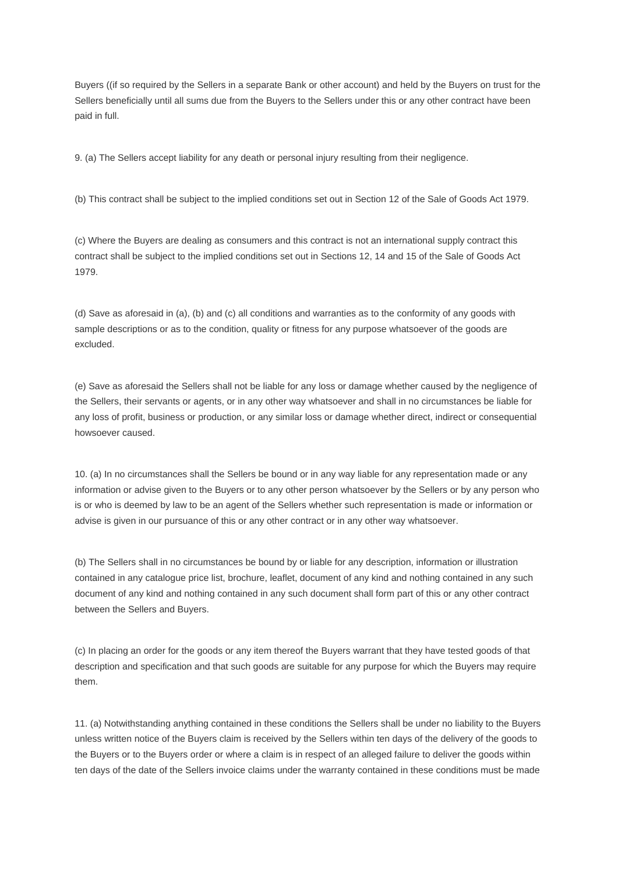Buyers ((if so required by the Sellers in a separate Bank or other account) and held by the Buyers on trust for the Sellers beneficially until all sums due from the Buyers to the Sellers under this or any other contract have been paid in full.

9. (a) The Sellers accept liability for any death or personal injury resulting from their negligence.

(b) This contract shall be subject to the implied conditions set out in Section 12 of the Sale of Goods Act 1979.

(c) Where the Buyers are dealing as consumers and this contract is not an international supply contract this contract shall be subject to the implied conditions set out in Sections 12, 14 and 15 of the Sale of Goods Act 1979.

(d) Save as aforesaid in (a), (b) and (c) all conditions and warranties as to the conformity of any goods with sample descriptions or as to the condition, quality or fitness for any purpose whatsoever of the goods are excluded.

(e) Save as aforesaid the Sellers shall not be liable for any loss or damage whether caused by the negligence of the Sellers, their servants or agents, or in any other way whatsoever and shall in no circumstances be liable for any loss of profit, business or production, or any similar loss or damage whether direct, indirect or consequential howsoever caused.

10. (a) In no circumstances shall the Sellers be bound or in any way liable for any representation made or any information or advise given to the Buyers or to any other person whatsoever by the Sellers or by any person who is or who is deemed by law to be an agent of the Sellers whether such representation is made or information or advise is given in our pursuance of this or any other contract or in any other way whatsoever.

(b) The Sellers shall in no circumstances be bound by or liable for any description, information or illustration contained in any catalogue price list, brochure, leaflet, document of any kind and nothing contained in any such document of any kind and nothing contained in any such document shall form part of this or any other contract between the Sellers and Buyers.

(c) In placing an order for the goods or any item thereof the Buyers warrant that they have tested goods of that description and specification and that such goods are suitable for any purpose for which the Buyers may require them.

11. (a) Notwithstanding anything contained in these conditions the Sellers shall be under no liability to the Buyers unless written notice of the Buyers claim is received by the Sellers within ten days of the delivery of the goods to the Buyers or to the Buyers order or where a claim is in respect of an alleged failure to deliver the goods within ten days of the date of the Sellers invoice claims under the warranty contained in these conditions must be made